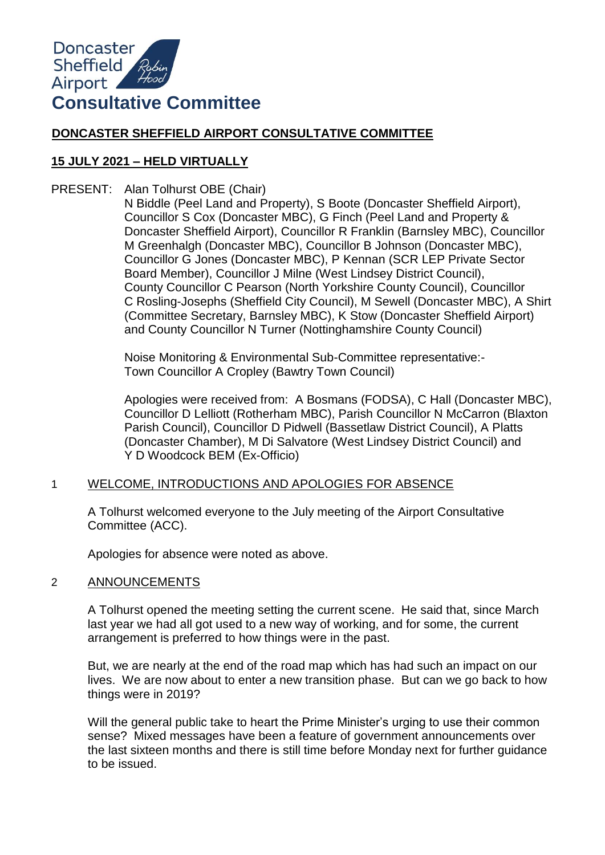

# **DONCASTER SHEFFIELD AIRPORT CONSULTATIVE COMMITTEE**

# **15 JULY 2021 – HELD VIRTUALLY**

PRESENT: Alan Tolhurst OBE (Chair)

N Biddle (Peel Land and Property), S Boote (Doncaster Sheffield Airport), Councillor S Cox (Doncaster MBC), G Finch (Peel Land and Property & Doncaster Sheffield Airport), Councillor R Franklin (Barnsley MBC), Councillor M Greenhalgh (Doncaster MBC), Councillor B Johnson (Doncaster MBC), Councillor G Jones (Doncaster MBC), P Kennan (SCR LEP Private Sector Board Member), Councillor J Milne (West Lindsey District Council), County Councillor C Pearson (North Yorkshire County Council), Councillor C Rosling-Josephs (Sheffield City Council), M Sewell (Doncaster MBC), A Shirt (Committee Secretary, Barnsley MBC), K Stow (Doncaster Sheffield Airport) and County Councillor N Turner (Nottinghamshire County Council)

Noise Monitoring & Environmental Sub-Committee representative:- Town Councillor A Cropley (Bawtry Town Council)

Apologies were received from: A Bosmans (FODSA), C Hall (Doncaster MBC), Councillor D Lelliott (Rotherham MBC), Parish Councillor N McCarron (Blaxton Parish Council), Councillor D Pidwell (Bassetlaw District Council), A Platts (Doncaster Chamber), M Di Salvatore (West Lindsey District Council) and Y D Woodcock BEM (Ex-Officio)

# 1 WELCOME, INTRODUCTIONS AND APOLOGIES FOR ABSENCE

A Tolhurst welcomed everyone to the July meeting of the Airport Consultative Committee (ACC).

Apologies for absence were noted as above.

# 2 ANNOUNCEMENTS

A Tolhurst opened the meeting setting the current scene. He said that, since March last year we had all got used to a new way of working, and for some, the current arrangement is preferred to how things were in the past.

But, we are nearly at the end of the road map which has had such an impact on our lives. We are now about to enter a new transition phase. But can we go back to how things were in 2019?

Will the general public take to heart the Prime Minister's urging to use their common sense? Mixed messages have been a feature of government announcements over the last sixteen months and there is still time before Monday next for further guidance to be issued.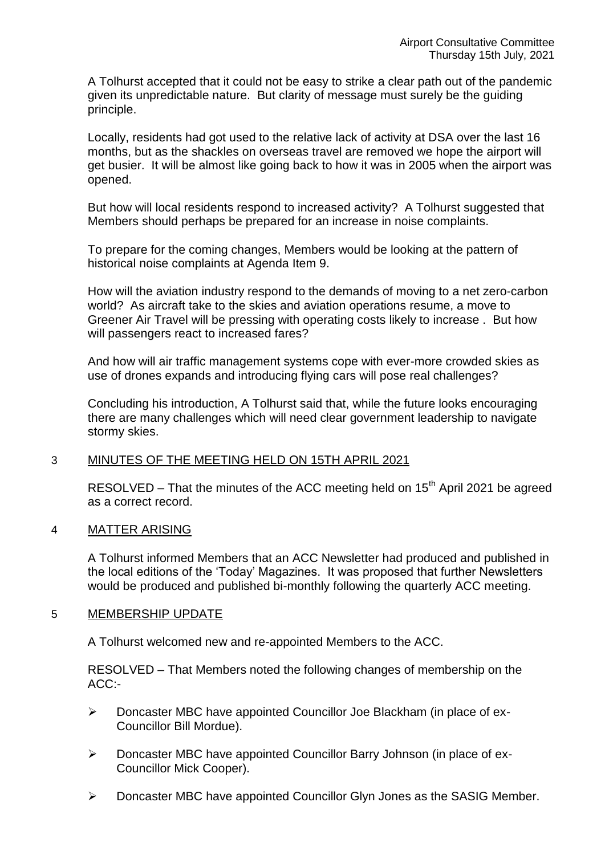A Tolhurst accepted that it could not be easy to strike a clear path out of the pandemic given its unpredictable nature. But clarity of message must surely be the guiding principle.

Locally, residents had got used to the relative lack of activity at DSA over the last 16 months, but as the shackles on overseas travel are removed we hope the airport will get busier. It will be almost like going back to how it was in 2005 when the airport was opened.

But how will local residents respond to increased activity? A Tolhurst suggested that Members should perhaps be prepared for an increase in noise complaints.

To prepare for the coming changes, Members would be looking at the pattern of historical noise complaints at Agenda Item 9.

How will the aviation industry respond to the demands of moving to a net zero-carbon world? As aircraft take to the skies and aviation operations resume, a move to Greener Air Travel will be pressing with operating costs likely to increase . But how will passengers react to increased fares?

And how will air traffic management systems cope with ever-more crowded skies as use of drones expands and introducing flying cars will pose real challenges?

Concluding his introduction, A Tolhurst said that, while the future looks encouraging there are many challenges which will need clear government leadership to navigate stormy skies.

# 3 MINUTES OF THE MEETING HELD ON 15TH APRIL 2021

RESOLVED – That the minutes of the ACC meeting held on  $15<sup>th</sup>$  April 2021 be agreed as a correct record.

#### 4 MATTER ARISING

A Tolhurst informed Members that an ACC Newsletter had produced and published in the local editions of the 'Today' Magazines. It was proposed that further Newsletters would be produced and published bi-monthly following the quarterly ACC meeting.

#### 5 MEMBERSHIP UPDATE

A Tolhurst welcomed new and re-appointed Members to the ACC.

RESOLVED – That Members noted the following changes of membership on the ACC:-

- Doncaster MBC have appointed Councillor Joe Blackham (in place of ex-Councillor Bill Mordue).
- Doncaster MBC have appointed Councillor Barry Johnson (in place of ex-Councillor Mick Cooper).
- Doncaster MBC have appointed Councillor Glyn Jones as the SASIG Member.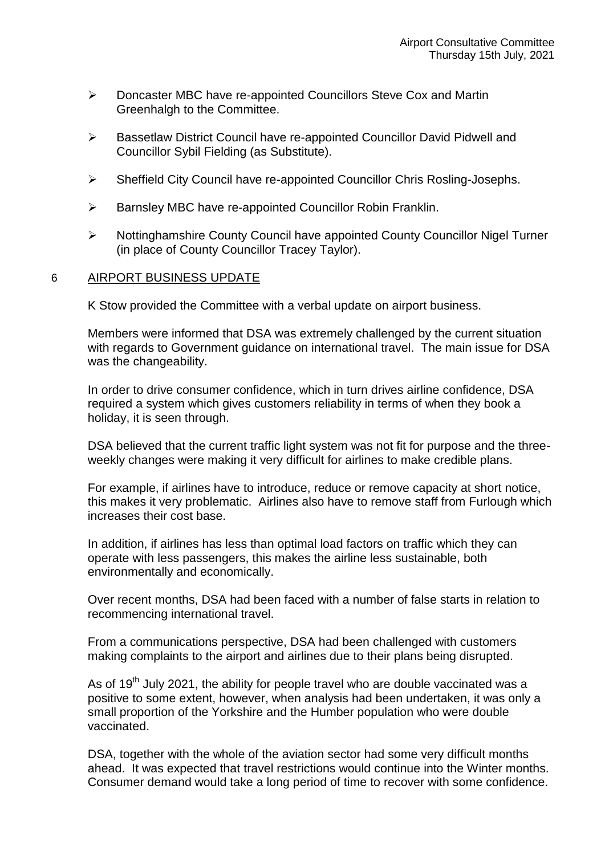- Doncaster MBC have re-appointed Councillors Steve Cox and Martin Greenhalgh to the Committee.
- Bassetlaw District Council have re-appointed Councillor David Pidwell and Councillor Sybil Fielding (as Substitute).
- Sheffield City Council have re-appointed Councillor Chris Rosling-Josephs.
- $\triangleright$  Barnsley MBC have re-appointed Councillor Robin Franklin.
- Nottinghamshire County Council have appointed County Councillor Nigel Turner (in place of County Councillor Tracey Taylor).

#### 6 AIRPORT BUSINESS UPDATE

K Stow provided the Committee with a verbal update on airport business.

Members were informed that DSA was extremely challenged by the current situation with regards to Government guidance on international travel. The main issue for DSA was the changeability.

In order to drive consumer confidence, which in turn drives airline confidence, DSA required a system which gives customers reliability in terms of when they book a holiday, it is seen through.

DSA believed that the current traffic light system was not fit for purpose and the threeweekly changes were making it very difficult for airlines to make credible plans.

For example, if airlines have to introduce, reduce or remove capacity at short notice, this makes it very problematic. Airlines also have to remove staff from Furlough which increases their cost base.

In addition, if airlines has less than optimal load factors on traffic which they can operate with less passengers, this makes the airline less sustainable, both environmentally and economically.

Over recent months, DSA had been faced with a number of false starts in relation to recommencing international travel.

From a communications perspective, DSA had been challenged with customers making complaints to the airport and airlines due to their plans being disrupted.

As of 19<sup>th</sup> July 2021, the ability for people travel who are double vaccinated was a positive to some extent, however, when analysis had been undertaken, it was only a small proportion of the Yorkshire and the Humber population who were double vaccinated.

DSA, together with the whole of the aviation sector had some very difficult months ahead. It was expected that travel restrictions would continue into the Winter months. Consumer demand would take a long period of time to recover with some confidence.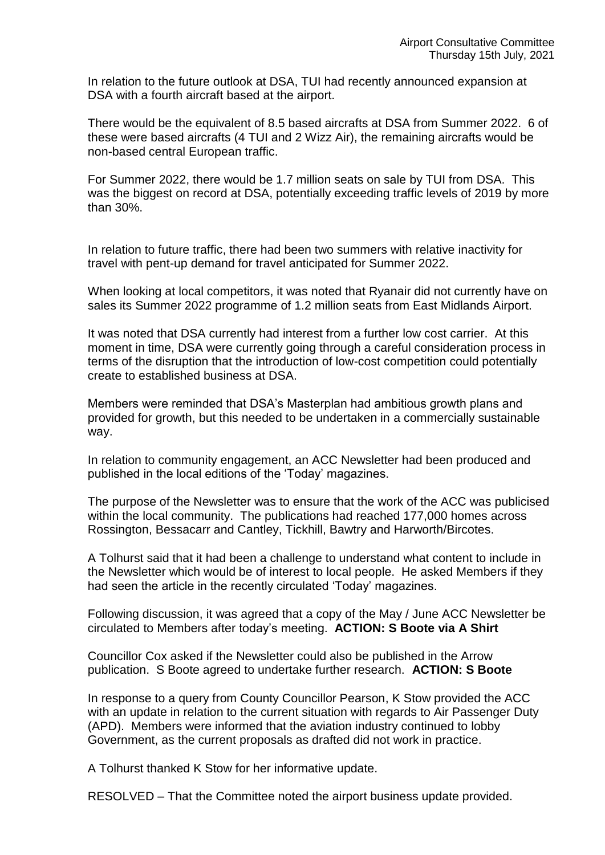In relation to the future outlook at DSA, TUI had recently announced expansion at DSA with a fourth aircraft based at the airport.

There would be the equivalent of 8.5 based aircrafts at DSA from Summer 2022. 6 of these were based aircrafts (4 TUI and 2 Wizz Air), the remaining aircrafts would be non-based central European traffic.

For Summer 2022, there would be 1.7 million seats on sale by TUI from DSA. This was the biggest on record at DSA, potentially exceeding traffic levels of 2019 by more than 30%.

In relation to future traffic, there had been two summers with relative inactivity for travel with pent-up demand for travel anticipated for Summer 2022.

When looking at local competitors, it was noted that Ryanair did not currently have on sales its Summer 2022 programme of 1.2 million seats from East Midlands Airport.

It was noted that DSA currently had interest from a further low cost carrier. At this moment in time, DSA were currently going through a careful consideration process in terms of the disruption that the introduction of low-cost competition could potentially create to established business at DSA.

Members were reminded that DSA's Masterplan had ambitious growth plans and provided for growth, but this needed to be undertaken in a commercially sustainable way.

In relation to community engagement, an ACC Newsletter had been produced and published in the local editions of the 'Today' magazines.

The purpose of the Newsletter was to ensure that the work of the ACC was publicised within the local community. The publications had reached 177,000 homes across Rossington, Bessacarr and Cantley, Tickhill, Bawtry and Harworth/Bircotes.

A Tolhurst said that it had been a challenge to understand what content to include in the Newsletter which would be of interest to local people. He asked Members if they had seen the article in the recently circulated 'Today' magazines.

Following discussion, it was agreed that a copy of the May / June ACC Newsletter be circulated to Members after today's meeting. **ACTION: S Boote via A Shirt**

Councillor Cox asked if the Newsletter could also be published in the Arrow publication. S Boote agreed to undertake further research. **ACTION: S Boote**

In response to a query from County Councillor Pearson, K Stow provided the ACC with an update in relation to the current situation with regards to Air Passenger Duty (APD). Members were informed that the aviation industry continued to lobby Government, as the current proposals as drafted did not work in practice.

A Tolhurst thanked K Stow for her informative update.

RESOLVED – That the Committee noted the airport business update provided.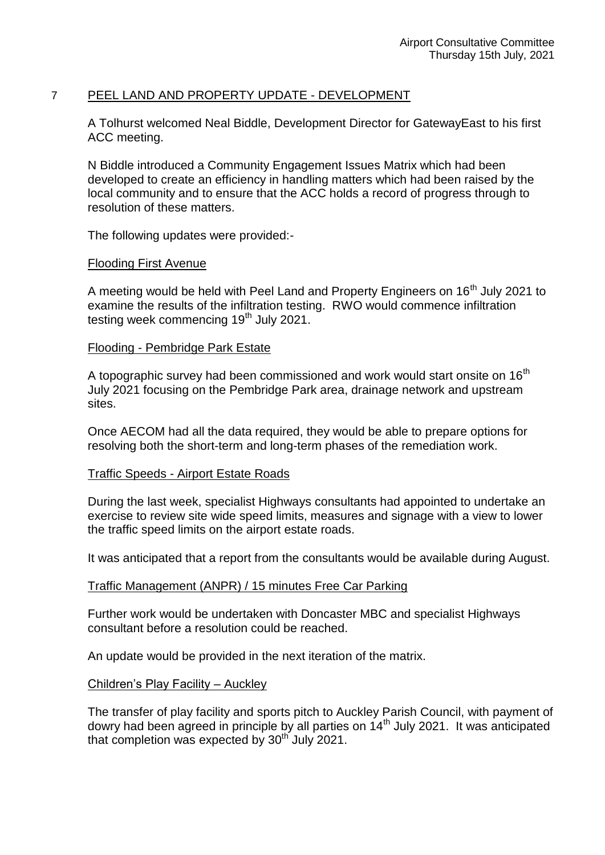### 7 PEEL LAND AND PROPERTY UPDATE - DEVELOPMENT

A Tolhurst welcomed Neal Biddle, Development Director for GatewayEast to his first ACC meeting.

N Biddle introduced a Community Engagement Issues Matrix which had been developed to create an efficiency in handling matters which had been raised by the local community and to ensure that the ACC holds a record of progress through to resolution of these matters.

The following updates were provided:-

#### Flooding First Avenue

A meeting would be held with Peel Land and Property Engineers on 16<sup>th</sup> July 2021 to examine the results of the infiltration testing. RWO would commence infiltration testing week commencing  $19<sup>th</sup>$  July 2021.

#### Flooding - Pembridge Park Estate

A topographic survey had been commissioned and work would start onsite on  $16<sup>th</sup>$ July 2021 focusing on the Pembridge Park area, drainage network and upstream sites.

Once AECOM had all the data required, they would be able to prepare options for resolving both the short-term and long-term phases of the remediation work.

#### Traffic Speeds - Airport Estate Roads

During the last week, specialist Highways consultants had appointed to undertake an exercise to review site wide speed limits, measures and signage with a view to lower the traffic speed limits on the airport estate roads.

It was anticipated that a report from the consultants would be available during August.

#### Traffic Management (ANPR) / 15 minutes Free Car Parking

Further work would be undertaken with Doncaster MBC and specialist Highways consultant before a resolution could be reached.

An update would be provided in the next iteration of the matrix.

#### Children's Play Facility – Auckley

The transfer of play facility and sports pitch to Auckley Parish Council, with payment of dowry had been agreed in principle by all parties on 14<sup>th</sup> July 2021. It was anticipated that completion was expected by  $30<sup>th</sup>$  July 2021.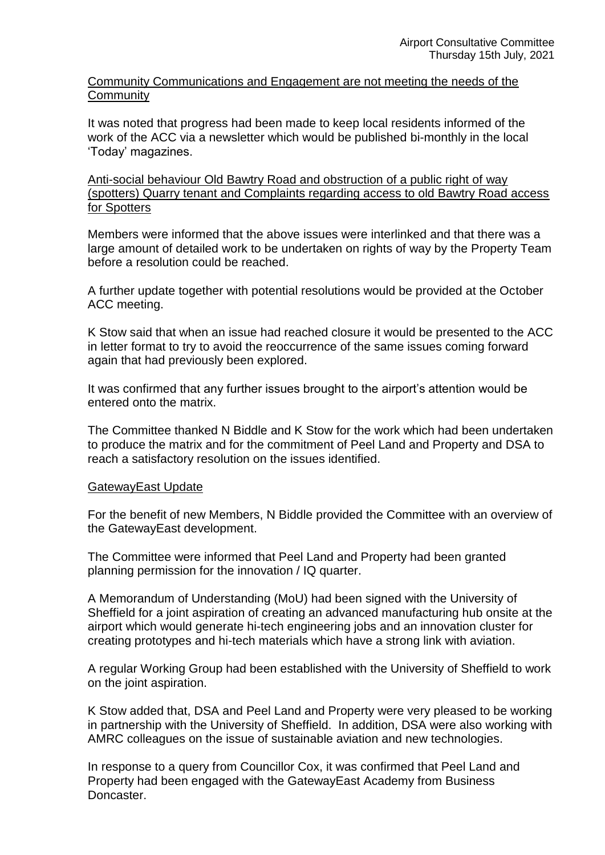Community Communications and Engagement are not meeting the needs of the **Community** 

It was noted that progress had been made to keep local residents informed of the work of the ACC via a newsletter which would be published bi-monthly in the local 'Today' magazines.

Anti-social behaviour Old Bawtry Road and obstruction of a public right of way (spotters) Quarry tenant and Complaints regarding access to old Bawtry Road access for Spotters

Members were informed that the above issues were interlinked and that there was a large amount of detailed work to be undertaken on rights of way by the Property Team before a resolution could be reached.

A further update together with potential resolutions would be provided at the October ACC meeting.

K Stow said that when an issue had reached closure it would be presented to the ACC in letter format to try to avoid the reoccurrence of the same issues coming forward again that had previously been explored.

It was confirmed that any further issues brought to the airport's attention would be entered onto the matrix.

The Committee thanked N Biddle and K Stow for the work which had been undertaken to produce the matrix and for the commitment of Peel Land and Property and DSA to reach a satisfactory resolution on the issues identified.

#### GatewayEast Update

For the benefit of new Members, N Biddle provided the Committee with an overview of the GatewayEast development.

The Committee were informed that Peel Land and Property had been granted planning permission for the innovation / IQ quarter.

A Memorandum of Understanding (MoU) had been signed with the University of Sheffield for a joint aspiration of creating an advanced manufacturing hub onsite at the airport which would generate hi-tech engineering jobs and an innovation cluster for creating prototypes and hi-tech materials which have a strong link with aviation.

A regular Working Group had been established with the University of Sheffield to work on the joint aspiration.

K Stow added that, DSA and Peel Land and Property were very pleased to be working in partnership with the University of Sheffield. In addition, DSA were also working with AMRC colleagues on the issue of sustainable aviation and new technologies.

In response to a query from Councillor Cox, it was confirmed that Peel Land and Property had been engaged with the GatewayEast Academy from Business Doncaster.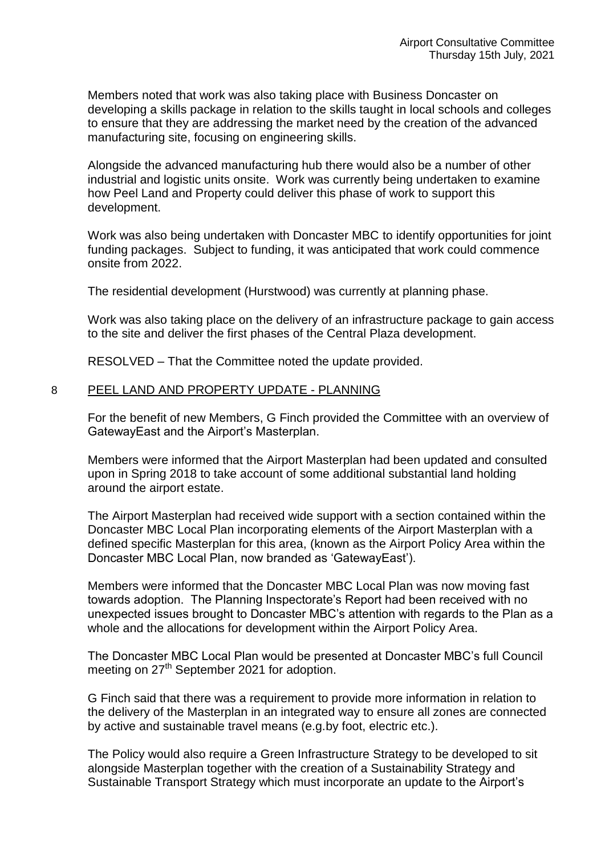Members noted that work was also taking place with Business Doncaster on developing a skills package in relation to the skills taught in local schools and colleges to ensure that they are addressing the market need by the creation of the advanced manufacturing site, focusing on engineering skills.

Alongside the advanced manufacturing hub there would also be a number of other industrial and logistic units onsite. Work was currently being undertaken to examine how Peel Land and Property could deliver this phase of work to support this development.

Work was also being undertaken with Doncaster MBC to identify opportunities for joint funding packages. Subject to funding, it was anticipated that work could commence onsite from 2022.

The residential development (Hurstwood) was currently at planning phase.

Work was also taking place on the delivery of an infrastructure package to gain access to the site and deliver the first phases of the Central Plaza development.

RESOLVED – That the Committee noted the update provided.

### 8 PEEL LAND AND PROPERTY UPDATE - PLANNING

For the benefit of new Members, G Finch provided the Committee with an overview of GatewayEast and the Airport's Masterplan.

Members were informed that the Airport Masterplan had been updated and consulted upon in Spring 2018 to take account of some additional substantial land holding around the airport estate.

The Airport Masterplan had received wide support with a section contained within the Doncaster MBC Local Plan incorporating elements of the Airport Masterplan with a defined specific Masterplan for this area, (known as the Airport Policy Area within the Doncaster MBC Local Plan, now branded as 'GatewayEast').

Members were informed that the Doncaster MBC Local Plan was now moving fast towards adoption. The Planning Inspectorate's Report had been received with no unexpected issues brought to Doncaster MBC's attention with regards to the Plan as a whole and the allocations for development within the Airport Policy Area.

The Doncaster MBC Local Plan would be presented at Doncaster MBC's full Council meeting on 27<sup>th</sup> September 2021 for adoption.

G Finch said that there was a requirement to provide more information in relation to the delivery of the Masterplan in an integrated way to ensure all zones are connected by active and sustainable travel means (e.g.by foot, electric etc.).

The Policy would also require a Green Infrastructure Strategy to be developed to sit alongside Masterplan together with the creation of a Sustainability Strategy and Sustainable Transport Strategy which must incorporate an update to the Airport's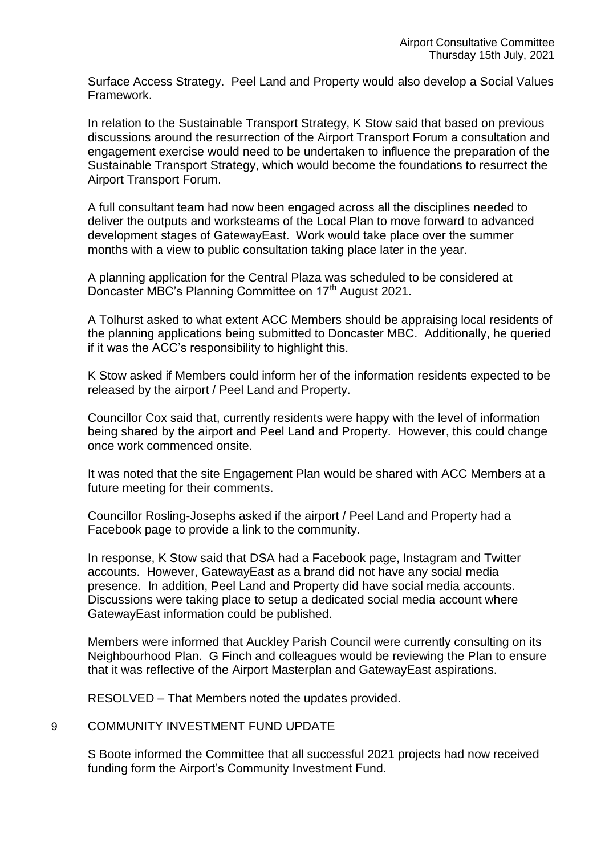Surface Access Strategy. Peel Land and Property would also develop a Social Values Framework.

In relation to the Sustainable Transport Strategy, K Stow said that based on previous discussions around the resurrection of the Airport Transport Forum a consultation and engagement exercise would need to be undertaken to influence the preparation of the Sustainable Transport Strategy, which would become the foundations to resurrect the Airport Transport Forum.

A full consultant team had now been engaged across all the disciplines needed to deliver the outputs and worksteams of the Local Plan to move forward to advanced development stages of GatewayEast. Work would take place over the summer months with a view to public consultation taking place later in the year.

A planning application for the Central Plaza was scheduled to be considered at Doncaster MBC's Planning Committee on 17<sup>th</sup> August 2021.

A Tolhurst asked to what extent ACC Members should be appraising local residents of the planning applications being submitted to Doncaster MBC. Additionally, he queried if it was the ACC's responsibility to highlight this.

K Stow asked if Members could inform her of the information residents expected to be released by the airport / Peel Land and Property.

Councillor Cox said that, currently residents were happy with the level of information being shared by the airport and Peel Land and Property. However, this could change once work commenced onsite.

It was noted that the site Engagement Plan would be shared with ACC Members at a future meeting for their comments.

Councillor Rosling-Josephs asked if the airport / Peel Land and Property had a Facebook page to provide a link to the community.

In response, K Stow said that DSA had a Facebook page, Instagram and Twitter accounts. However, GatewayEast as a brand did not have any social media presence. In addition, Peel Land and Property did have social media accounts. Discussions were taking place to setup a dedicated social media account where GatewayEast information could be published.

Members were informed that Auckley Parish Council were currently consulting on its Neighbourhood Plan. G Finch and colleagues would be reviewing the Plan to ensure that it was reflective of the Airport Masterplan and GatewayEast aspirations.

RESOLVED – That Members noted the updates provided.

# 9 COMMUNITY INVESTMENT FUND UPDATE

S Boote informed the Committee that all successful 2021 projects had now received funding form the Airport's Community Investment Fund.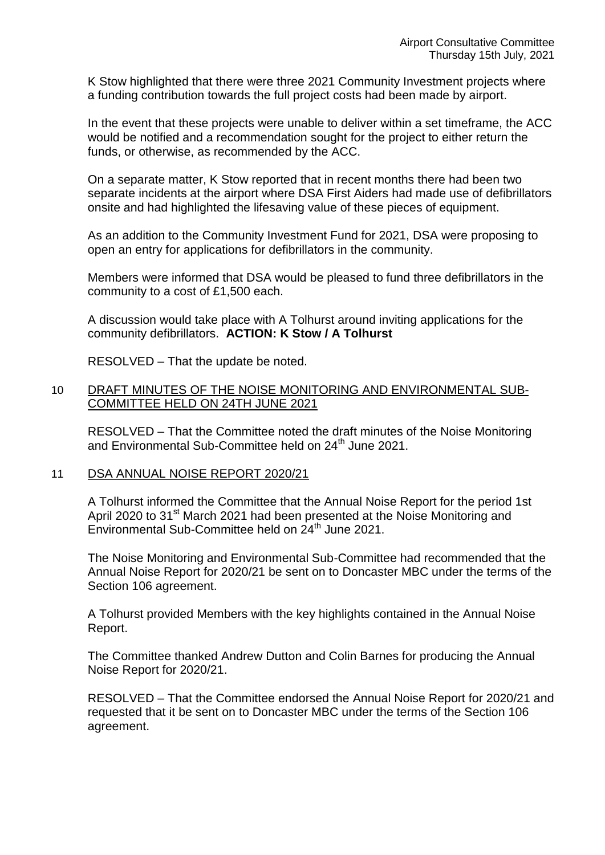K Stow highlighted that there were three 2021 Community Investment projects where a funding contribution towards the full project costs had been made by airport.

In the event that these projects were unable to deliver within a set timeframe, the ACC would be notified and a recommendation sought for the project to either return the funds, or otherwise, as recommended by the ACC.

On a separate matter, K Stow reported that in recent months there had been two separate incidents at the airport where DSA First Aiders had made use of defibrillators onsite and had highlighted the lifesaving value of these pieces of equipment.

As an addition to the Community Investment Fund for 2021, DSA were proposing to open an entry for applications for defibrillators in the community.

Members were informed that DSA would be pleased to fund three defibrillators in the community to a cost of £1,500 each.

A discussion would take place with A Tolhurst around inviting applications for the community defibrillators. **ACTION: K Stow / A Tolhurst**

RESOLVED – That the update be noted.

### 10 DRAFT MINUTES OF THE NOISE MONITORING AND ENVIRONMENTAL SUB-COMMITTEE HELD ON 24TH JUNE 2021

RESOLVED – That the Committee noted the draft minutes of the Noise Monitoring and Environmental Sub-Committee held on 24<sup>th</sup> June 2021.

11 DSA ANNUAL NOISE REPORT 2020/21

A Tolhurst informed the Committee that the Annual Noise Report for the period 1st April 2020 to 31<sup>st</sup> March 2021 had been presented at the Noise Monitoring and Environmental Sub-Committee held on 24<sup>th</sup> June 2021.

The Noise Monitoring and Environmental Sub-Committee had recommended that the Annual Noise Report for 2020/21 be sent on to Doncaster MBC under the terms of the Section 106 agreement.

A Tolhurst provided Members with the key highlights contained in the Annual Noise Report.

The Committee thanked Andrew Dutton and Colin Barnes for producing the Annual Noise Report for 2020/21.

RESOLVED – That the Committee endorsed the Annual Noise Report for 2020/21 and requested that it be sent on to Doncaster MBC under the terms of the Section 106 agreement.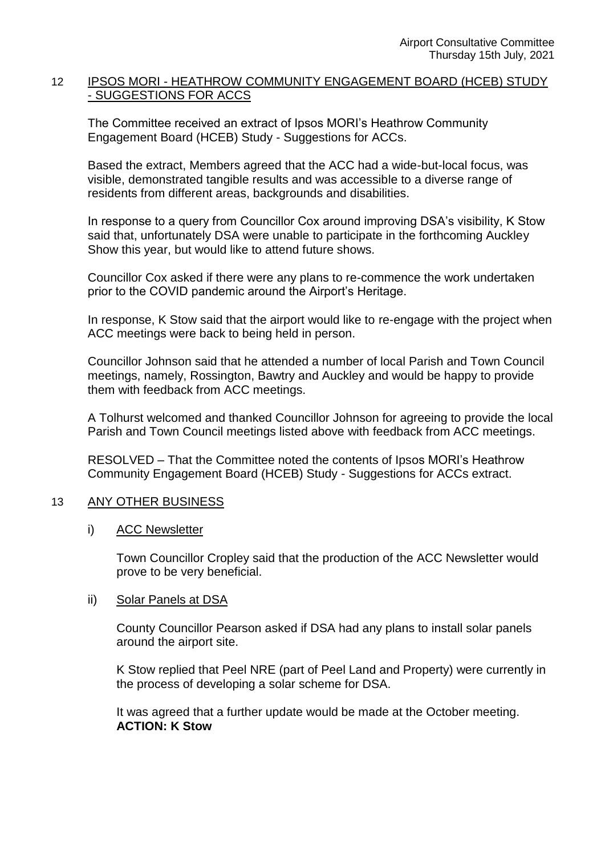# 12 IPSOS MORI - HEATHROW COMMUNITY ENGAGEMENT BOARD (HCEB) STUDY - SUGGESTIONS FOR ACCS

The Committee received an extract of Ipsos MORI's Heathrow Community Engagement Board (HCEB) Study - Suggestions for ACCs.

Based the extract, Members agreed that the ACC had a wide-but-local focus, was visible, demonstrated tangible results and was accessible to a diverse range of residents from different areas, backgrounds and disabilities.

In response to a query from Councillor Cox around improving DSA's visibility, K Stow said that, unfortunately DSA were unable to participate in the forthcoming Auckley Show this year, but would like to attend future shows.

Councillor Cox asked if there were any plans to re-commence the work undertaken prior to the COVID pandemic around the Airport's Heritage.

In response, K Stow said that the airport would like to re-engage with the project when ACC meetings were back to being held in person.

Councillor Johnson said that he attended a number of local Parish and Town Council meetings, namely, Rossington, Bawtry and Auckley and would be happy to provide them with feedback from ACC meetings.

A Tolhurst welcomed and thanked Councillor Johnson for agreeing to provide the local Parish and Town Council meetings listed above with feedback from ACC meetings.

RESOLVED – That the Committee noted the contents of Ipsos MORI's Heathrow Community Engagement Board (HCEB) Study - Suggestions for ACCs extract.

# 13 ANY OTHER BUSINESS

i) ACC Newsletter

Town Councillor Cropley said that the production of the ACC Newsletter would prove to be very beneficial.

#### ii) Solar Panels at DSA

County Councillor Pearson asked if DSA had any plans to install solar panels around the airport site.

K Stow replied that Peel NRE (part of Peel Land and Property) were currently in the process of developing a solar scheme for DSA.

It was agreed that a further update would be made at the October meeting. **ACTION: K Stow**